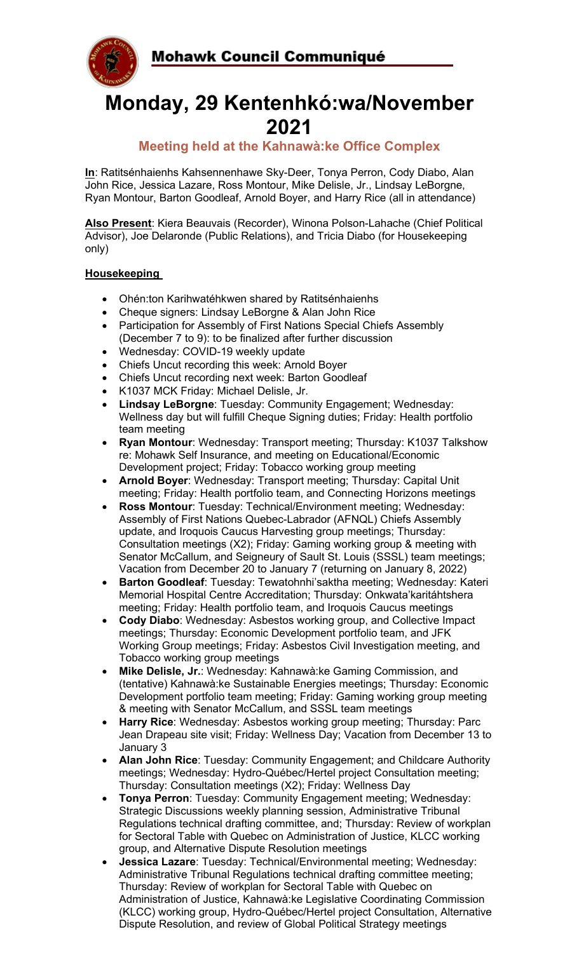Mohawk Council Communiqué



# **Monday, 29 Kentenhkó:wa/November 2021**

# **Meeting held at the Kahnawà:ke Office Complex**

**In**: Ratitsénhaienhs Kahsennenhawe Sky-Deer, Tonya Perron, Cody Diabo, Alan John Rice, Jessica Lazare, Ross Montour, Mike Delisle, Jr., Lindsay LeBorgne, Ryan Montour, Barton Goodleaf, Arnold Boyer, and Harry Rice (all in attendance)

**Also Present**: Kiera Beauvais (Recorder), Winona Polson-Lahache (Chief Political Advisor), Joe Delaronde (Public Relations), and Tricia Diabo (for Housekeeping only)

# **Housekeeping**

- Ohén:ton Karihwatéhkwen shared by Ratitsénhaienhs
- Cheque signers: Lindsay LeBorgne & Alan John Rice
- Participation for Assembly of First Nations Special Chiefs Assembly (December 7 to 9): to be finalized after further discussion
- Wednesday: COVID-19 weekly update
- Chiefs Uncut recording this week: Arnold Boyer
- Chiefs Uncut recording next week: Barton Goodleaf
- K1037 MCK Friday: Michael Delisle, Jr.
- **Lindsay LeBorgne**: Tuesday: Community Engagement; Wednesday: Wellness day but will fulfill Cheque Signing duties; Friday: Health portfolio team meeting
- **Ryan Montour**: Wednesday: Transport meeting; Thursday: K1037 Talkshow re: Mohawk Self Insurance, and meeting on Educational/Economic Development project; Friday: Tobacco working group meeting
- **Arnold Boyer**: Wednesday: Transport meeting; Thursday: Capital Unit meeting; Friday: Health portfolio team, and Connecting Horizons meetings
- **Ross Montour**: Tuesday: Technical/Environment meeting; Wednesday: Assembly of First Nations Quebec-Labrador (AFNQL) Chiefs Assembly update, and Iroquois Caucus Harvesting group meetings; Thursday: Consultation meetings (X2); Friday: Gaming working group & meeting with Senator McCallum, and Seigneury of Sault St. Louis (SSSL) team meetings; Vacation from December 20 to January 7 (returning on January 8, 2022)
- **Barton Goodleaf**: Tuesday: Tewatohnhi'saktha meeting; Wednesday: Kateri Memorial Hospital Centre Accreditation; Thursday: Onkwata'karitáhtshera meeting; Friday: Health portfolio team, and Iroquois Caucus meetings
- **Cody Diabo**: Wednesday: Asbestos working group, and Collective Impact meetings; Thursday: Economic Development portfolio team, and JFK Working Group meetings; Friday: Asbestos Civil Investigation meeting, and Tobacco working group meetings
- **Mike Delisle, Jr.**: Wednesday: Kahnawà:ke Gaming Commission, and (tentative) Kahnawà:ke Sustainable Energies meetings; Thursday: Economic Development portfolio team meeting; Friday: Gaming working group meeting & meeting with Senator McCallum, and SSSL team meetings
- **Harry Rice**: Wednesday: Asbestos working group meeting; Thursday: Parc Jean Drapeau site visit; Friday: Wellness Day; Vacation from December 13 to January 3
- **Alan John Rice**: Tuesday: Community Engagement; and Childcare Authority meetings; Wednesday: Hydro-Québec/Hertel project Consultation meeting; Thursday: Consultation meetings (X2); Friday: Wellness Day
- **Tonya Perron**: Tuesday: Community Engagement meeting; Wednesday: Strategic Discussions weekly planning session, Administrative Tribunal Regulations technical drafting committee, and; Thursday: Review of workplan for Sectoral Table with Quebec on Administration of Justice, KLCC working group, and Alternative Dispute Resolution meetings
- **Jessica Lazare**: Tuesday: Technical/Environmental meeting; Wednesday: Administrative Tribunal Regulations technical drafting committee meeting; Thursday: Review of workplan for Sectoral Table with Quebec on Administration of Justice, Kahnawà:ke Legislative Coordinating Commission (KLCC) working group, Hydro-Québec/Hertel project Consultation, Alternative Dispute Resolution, and review of Global Political Strategy meetings